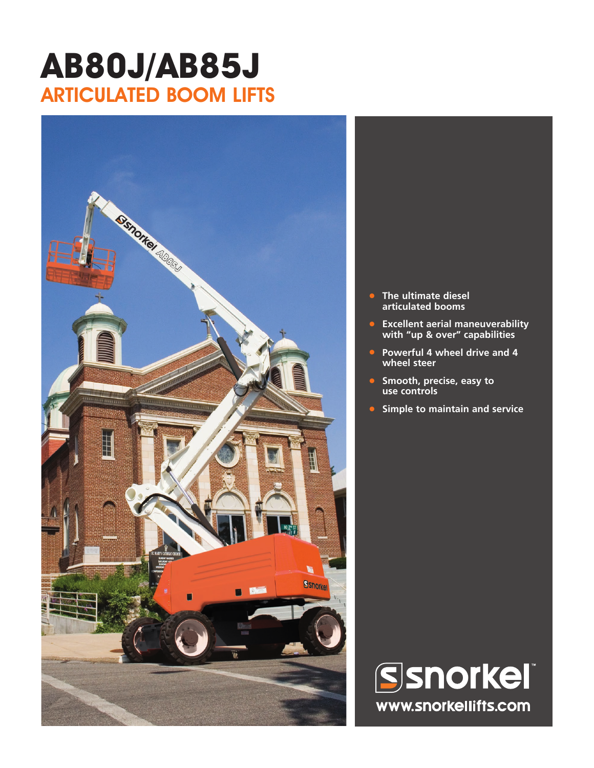## **AB80J/AB85J** ARTICULATED BOOM LIFTS



- **• The ultimate diesel articulated booms**
- **• Excellent aerial maneuverability with "up & over" capabilities**
- **• Powerful 4 wheel drive and 4 wheel steer**
- **• Smooth, precise, easy to use controls**
- **• Simple to maintain and service**